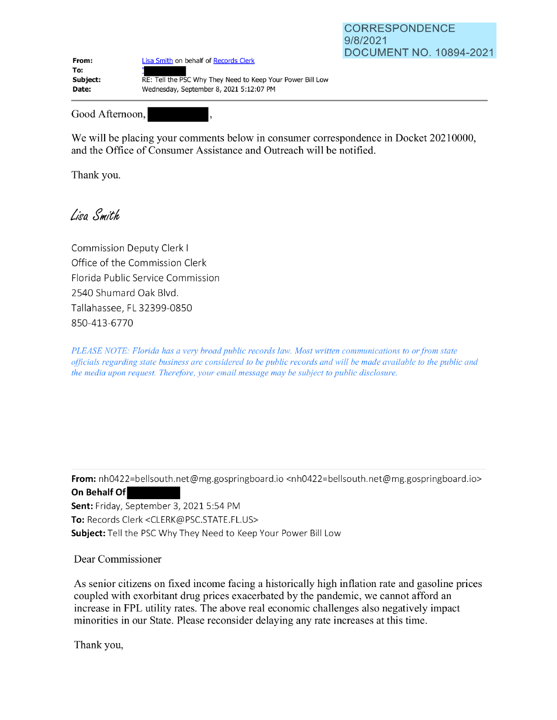| From:    | Lisa Smith on behalf of Records Clerk                      |
|----------|------------------------------------------------------------|
| To:      |                                                            |
| Subject: | RE: Tell the PSC Why They Need to Keep Your Power Bill Low |
| Date:    | Wednesday, September 8, 2021 5:12:07 PM                    |

Good Afternoon,  $\overline{\phantom{a}}$ 

We will be placing your comments below in consumer correspondence in Docket 20210000, and the Office of Consumer Assistance and Outreach will be notified.

Thank you.

Lisa Smith

Commission Deputy Clerk I Office of the Commission Clerk Florida Public Service Commission 2540 Shumard Oak Blvd. Talla hassee, FL 32399-0850 850-413-6770

*PLEASE NOTE: Florida has a very broad public records law. Most written communications to or from state officials regarding state business are considered to be public records and will be made available to the public and the media upon request. Therefore, your email message may be subject to public disclosure.* 

**From:** nh0422=bellsouth.net@mg.gospringboard.io <nh0422=bellsouth.net@mg.gospringboard.io> **From:** nh0422=bellsouth.n<br>On Behalf Of

**Sent:** Friday, September 3, 2021 5:54 PM **To:** Records Clerk <CLERK@PSC.STATE.FL.US> **Subject:** Tell the PSC Why They Need to Keep Your Power Bill Low

Dear Commissioner

As senior citizens on fixed income facing a historically high inflation rate and gasoline prices coupled with exorbitant drug prices exacerbated by the pandemic, we cannot afford an increase in FPL utility rates. The above real economic challenges also negatively impact minorities in our State. Please reconsider delaying any rate increases at this time.

Thank you,